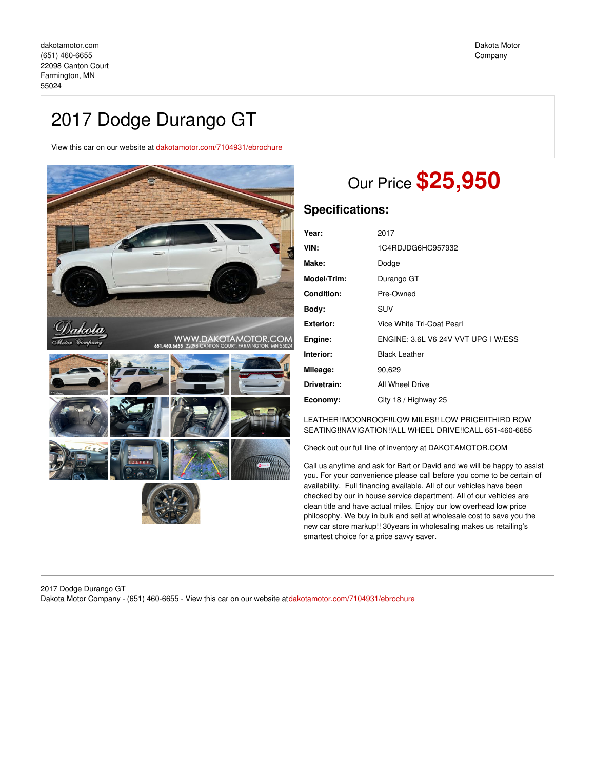# 2017 Dodge Durango GT

View this car on our website at [dakotamotor.com/7104931/ebrochure](https://dakotamotor.com/vehicle/7104931/2017-dodge-durango-gt-farmington-mn-55024/7104931/ebrochure)



# Our Price **\$25,950**

# **Specifications:**

| Year:       | 2017                                |
|-------------|-------------------------------------|
| VIN:        | 1C4RDJDG6HC957932                   |
| Make:       | Dodge                               |
| Model/Trim: | Durango GT                          |
| Condition:  | Pre-Owned                           |
| Body:       | SUV                                 |
| Exterior:   | Vice White Tri-Coat Pearl           |
| Engine:     | ENGINE: 3.6L V6 24V VVT UPG I W/ESS |
| Interior:   | <b>Black Leather</b>                |
| Mileage:    | 90,629                              |
| Drivetrain: | All Wheel Drive                     |
| Economy:    | City 18 / Highway 25                |

LEATHER!!MOONROOF!!LOW MILES!! LOW PRICE!!THIRD ROW SEATING!!NAVIGATION!!ALL WHEEL DRIVE!!CALL 651-460-6655

Check out our full line of inventory at DAKOTAMOTOR.COM

Call us anytime and ask for Bart or David and we will be happy to assist you. For your convenience please call before you come to be certain of availability. Full financing available. All of our vehicles have been checked by our in house service department. All of our vehicles are clean title and have actual miles. Enjoy our low overhead low price philosophy. We buy in bulk and sell at wholesale cost to save you the new car store markup!! 30years in wholesaling makes us retailing's smartest choice for a price savvy saver.

### 2017 Dodge Durango GT Dakota Motor Company - (651) 460-6655 - View this car on our website at[dakotamotor.com/7104931/ebrochure](https://dakotamotor.com/vehicle/7104931/2017-dodge-durango-gt-farmington-mn-55024/7104931/ebrochure)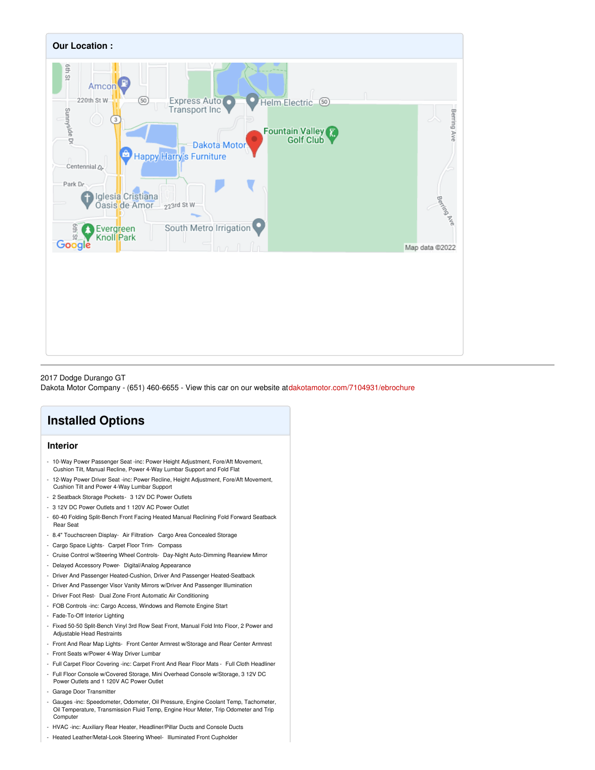

#### 2017 Dodge Durango GT

Dakota Motor Company - (651) 460-6655 - View this car on our website at[dakotamotor.com/7104931/ebrochure](https://dakotamotor.com/vehicle/7104931/2017-dodge-durango-gt-farmington-mn-55024/7104931/ebrochure)

# **Installed Options**

## **Interior**

- 10-Way Power Passenger Seat -inc: Power Height Adjustment, Fore/Aft Movement, Cushion Tilt, Manual Recline, Power 4-Way Lumbar Support and Fold Flat
- 12-Way Power Driver Seat -inc: Power Recline, Height Adjustment, Fore/Aft Movement, Cushion Tilt and Power 4-Way Lumbar Support
- 2 Seatback Storage Pockets- 3 12V DC Power Outlets
- 3 12V DC Power Outlets and 1 120V AC Power Outlet
- 60-40 Folding Split-Bench Front Facing Heated Manual Reclining Fold Forward Seatback Rear Seat
- 8.4" Touchscreen Display- Air Filtration- Cargo Area Concealed Storage
- Cargo Space Lights- Carpet Floor Trim- Compass
- Cruise Control w/Steering Wheel Controls- Day-Night Auto-Dimming Rearview Mirror
- Delayed Accessory Power- Digital/Analog Appearance
- Driver And Passenger Heated-Cushion, Driver And Passenger Heated-Seatback
- Driver And Passenger Visor Vanity Mirrors w/Driver And Passenger Illumination
- Driver Foot Rest- Dual Zone Front Automatic Air Conditioning
- FOB Controls -inc: Cargo Access, Windows and Remote Engine Start
- Fade-To-Off Interior Lighting
- Fixed 50-50 Split-Bench Vinyl 3rd Row Seat Front, Manual Fold Into Floor, 2 Power and Adjustable Head Restraints
- Front And Rear Map Lights- Front Center Armrest w/Storage and Rear Center Armrest
- Front Seats w/Power 4-Way Driver Lumbar
- Full Carpet Floor Covering -inc: Carpet Front And Rear Floor Mats Full Cloth Headliner
- Full Floor Console w/Covered Storage, Mini Overhead Console w/Storage, 3 12V DC Power Outlets and 1 120V AC Power Outlet
- Garage Door Transmitter
- Gauges -inc: Speedometer, Odometer, Oil Pressure, Engine Coolant Temp, Tachometer, Oil Temperature, Transmission Fluid Temp, Engine Hour Meter, Trip Odometer and Trip **Computer**
- HVAC -inc: Auxiliary Rear Heater, Headliner/Pillar Ducts and Console Ducts
- Heated Leather/Metal-Look Steering Wheel- Illuminated Front Cupholder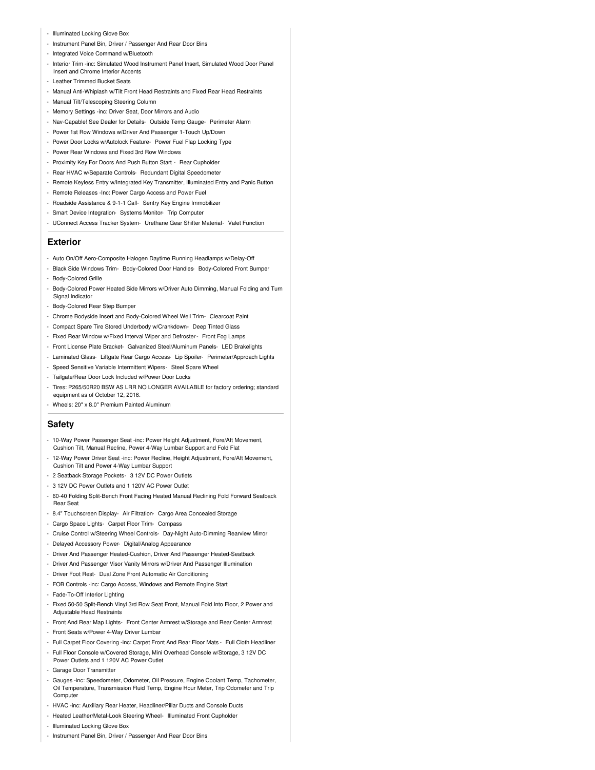- Illuminated Locking Glove Box
- Instrument Panel Bin, Driver / Passenger And Rear Door Bins
- Integrated Voice Command w/Bluetooth
- Interior Trim -inc: Simulated Wood Instrument Panel Insert, Simulated Wood Door Panel Insert and Chrome Interior Accents
- Leather Trimmed Bucket Seats
- Manual Anti-Whiplash w/Tilt Front Head Restraints and Fixed Rear Head Restraints
- Manual Tilt/Telescoping Steering Column
- Memory Settings -inc: Driver Seat, Door Mirrors and Audio
- Nav-Capable! See Dealer for Details- Outside Temp Gauge- Perimeter Alarm
- Power 1st Row Windows w/Driver And Passenger 1-Touch Up/Down
- Power Door Locks w/Autolock Feature- Power Fuel Flap Locking Type
- Power Rear Windows and Fixed 3rd Row Windows
- Proximity Key For Doors And Push Button Start Rear Cupholder
- Rear HVAC w/Separate Controls- Redundant Digital Speedometer
- Remote Keyless Entry w/Integrated Key Transmitter, Illuminated Entry and Panic Button
- Remote Releases -Inc: Power Cargo Access and Power Fuel
- Roadside Assistance & 9-1-1 Call- Sentry Key Engine Immobilizer
- Smart Device Integration- Systems Monitor- Trip Computer
- UConnect Access Tracker System- Urethane Gear Shifter Material- Valet Function

#### **Exterior**

- Auto On/Off Aero-Composite Halogen Daytime Running Headlamps w/Delay-Off
- Black Side Windows Trim- Body-Colored Door Handles- Body-Colored Front Bumper - Body-Colored Grille
- Body-Colored Power Heated Side Mirrors w/Driver Auto Dimming, Manual Folding and Turn Signal Indicator
- Body-Colored Rear Step Bumper
- Chrome Bodyside Insert and Body-Colored Wheel Well Trim- Clearcoat Paint
- Compact Spare Tire Stored Underbody w/Crankdown- Deep Tinted Glass
- Fixed Rear Window w/Fixed Interval Wiper and Defroster- Front Fog Lamps
- Front License Plate Bracket- Galvanized Steel/Aluminum Panels- LED Brakelights
- Laminated Glass- Liftgate Rear Cargo Access- Lip Spoiler- Perimeter/Approach Lights
- Speed Sensitive Variable Intermittent Wipers- Steel Spare Wheel
- Tailgate/Rear Door Lock Included w/Power Door Locks
- Tires: P265/50R20 BSW AS LRR NO LONGER AVAILABLE for factory ordering; standard equipment as of October 12, 2016.
- Wheels: 20" x 8.0" Premium Painted Aluminum

#### **Safety**

- 10-Way Power Passenger Seat -inc: Power Height Adjustment, Fore/Aft Movement, Cushion Tilt, Manual Recline, Power 4-Way Lumbar Support and Fold Flat
- 12-Way Power Driver Seat -inc: Power Recline, Height Adjustment, Fore/Aft Movement, Cushion Tilt and Power 4-Way Lumbar Support
- 2 Seatback Storage Pockets- 3 12V DC Power Outlets
- 3 12V DC Power Outlets and 1 120V AC Power Outlet
- 60-40 Folding Split-Bench Front Facing Heated Manual Reclining Fold Forward Seatback Rear Seat
- 8.4" Touchscreen Display- Air Filtration- Cargo Area Concealed Storage
- Cargo Space Lights- Carpet Floor Trim- Compass
- Cruise Control w/Steering Wheel Controls- Day-Night Auto-Dimming Rearview Mirror
- Delayed Accessory Power- Digital/Analog Appearance
- Driver And Passenger Heated-Cushion, Driver And Passenger Heated-Seatback
- Driver And Passenger Visor Vanity Mirrors w/Driver And Passenger Illumination
- Driver Foot Rest- Dual Zone Front Automatic Air Conditioning
- FOB Controls -inc: Cargo Access, Windows and Remote Engine Start
- Fade-To-Off Interior Lighting
- Fixed 50-50 Split-Bench Vinyl 3rd Row Seat Front, Manual Fold Into Floor, 2 Power and Adjustable Head Restraints
- Front And Rear Map Lights- Front Center Armrest w/Storage and Rear Center Armrest
- Front Seats w/Power 4-Way Driver Lumbar
- Full Carpet Floor Covering -inc: Carpet Front And Rear Floor Mats Full Cloth Headliner
- Full Floor Console w/Covered Storage, Mini Overhead Console w/Storage, 3 12V DC
- Power Outlets and 1 120V AC Power Outlet
- Garage Door Transmitter
- Gauges -inc: Speedometer, Odometer, Oil Pressure, Engine Coolant Temp, Tachometer, Oil Temperature, Transmission Fluid Temp, Engine Hour Meter, Trip Odometer and Trip **Computer**
- HVAC -inc: Auxiliary Rear Heater, Headliner/Pillar Ducts and Console Ducts
- Heated Leather/Metal-Look Steering Wheel- Illuminated Front Cupholder
- Illuminated Locking Glove Box
- Instrument Panel Bin, Driver / Passenger And Rear Door Bins